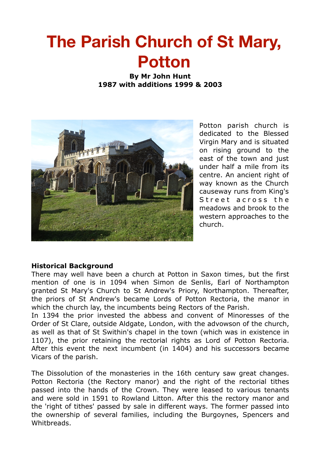# **The Parish Church of St Mary, Potton**

**By Mr John Hunt 1987 with additions 1999 & 2003** 



Potton parish church is dedicated to the Blessed Virgin Mary and is situated on rising ground to the east of the town and just under half a mile from its centre. An ancient right of way known as the Church causeway runs from King's Street across the meadows and brook to the western approaches to the church.

# **Historical Background**

There may well have been a church at Potton in Saxon times, but the first mention of one is in 1094 when Simon de Senlis, Earl of Northampton granted St Mary's Church to St Andrew's Priory, Northampton. Thereafter, the priors of St Andrew's became Lords of Potton Rectoria, the manor in which the church lay, the incumbents being Rectors of the Parish.

In 1394 the prior invested the abbess and convent of Minoresses of the Order of St Clare, outside Aldgate, London, with the advowson of the church, as well as that of St Swithin's chapel in the town (which was in existence in 1107), the prior retaining the rectorial rights as Lord of Potton Rectoria. After this event the next incumbent (in 1404) and his successors became Vicars of the parish.

The Dissolution of the monasteries in the 16th century saw great changes. Potton Rectoria (the Rectory manor) and the right of the rectorial tithes passed into the hands of the Crown. They were leased to various tenants and were sold in 1591 to Rowland Litton. After this the rectory manor and the 'right of tithes' passed by sale in different ways. The former passed into the ownership of several families, including the Burgoynes, Spencers and Whitbreads.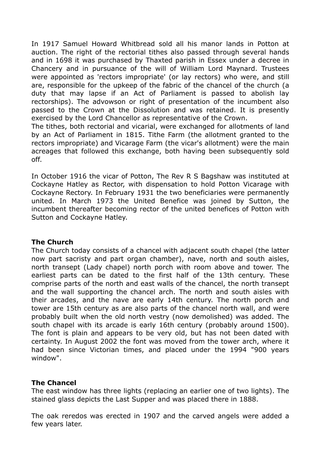In 1917 Samuel Howard Whitbread sold all his manor lands in Potton at auction. The right of the rectorial tithes also passed through several hands and in 1698 it was purchased by Thaxted parish in Essex under a decree in Chancery and in pursuance of the will of William Lord Maynard. Trustees were appointed as 'rectors impropriate' (or lay rectors) who were, and still are, responsible for the upkeep of the fabric of the chancel of the church (a duty that may lapse if an Act of Parliament is passed to abolish lay rectorships). The advowson or right of presentation of the incumbent also passed to the Crown at the Dissolution and was retained. It is presently exercised by the Lord Chancellor as representative of the Crown.

The tithes, both rectorial and vicarial, were exchanged for allotments of land by an Act of Parliament in 1815. Tithe Farm (the allotment granted to the rectors impropriate) and Vicarage Farm (the vicar's allotment) were the main acreages that followed this exchange, both having been subsequently sold off.

In October 1916 the vicar of Potton, The Rev R S Bagshaw was instituted at Cockayne Hatley as Rector, with dispensation to hold Potton Vicarage with Cockayne Rectory. In February 1931 the two beneficiaries were permanently united. In March 1973 the United Benefice was joined by Sutton, the incumbent thereafter becoming rector of the united benefices of Potton with Sutton and Cockayne Hatley.

# **The Church**

The Church today consists of a chancel with adjacent south chapel (the latter now part sacristy and part organ chamber), nave, north and south aisles, north transept (Lady chapel) north porch with room above and tower. The earliest parts can be dated to the first half of the 13th century. These comprise parts of the north and east walls of the chancel, the north transept and the wall supporting the chancel arch. The north and south aisles with their arcades, and the nave are early 14th century. The north porch and tower are 15th century as are also parts of the chancel north wall, and were probably built when the old north vestry (now demolished) was added. The south chapel with its arcade is early 16th century (probably around 1500). The font is plain and appears to be very old, but has not been dated with certainty. In August 2002 the font was moved from the tower arch, where it had been since Victorian times, and placed under the 1994 "900 years window".

# **The Chancel**

The east window has three lights (replacing an earlier one of two lights). The stained glass depicts the Last Supper and was placed there in 1888.

The oak reredos was erected in 1907 and the carved angels were added a few years later.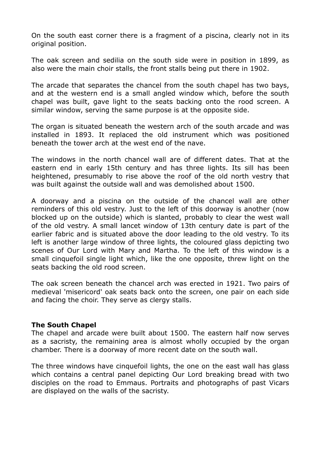On the south east corner there is a fragment of a piscina, clearly not in its original position.

The oak screen and sedilia on the south side were in position in 1899, as also were the main choir stalls, the front stalls being put there in 1902.

The arcade that separates the chancel from the south chapel has two bays, and at the western end is a small angled window which, before the south chapel was built, gave light to the seats backing onto the rood screen. A similar window, serving the same purpose is at the opposite side.

The organ is situated beneath the western arch of the south arcade and was installed in 1893. It replaced the old instrument which was positioned beneath the tower arch at the west end of the nave.

The windows in the north chancel wall are of different dates. That at the eastern end in early 15th century and has three lights. Its sill has been heightened, presumably to rise above the roof of the old north vestry that was built against the outside wall and was demolished about 1500.

A doorway and a piscina on the outside of the chancel wall are other reminders of this old vestry. Just to the left of this doorway is another (now blocked up on the outside) which is slanted, probably to clear the west wall of the old vestry. A small lancet window of 13th century date is part of the earlier fabric and is situated above the door leading to the old vestry. To its left is another large window of three lights, the coloured glass depicting two scenes of Our Lord with Mary and Martha. To the left of this window is a small cinquefoil single light which, like the one opposite, threw light on the seats backing the old rood screen.

The oak screen beneath the chancel arch was erected in 1921. Two pairs of medieval 'misericord' oak seats back onto the screen, one pair on each side and facing the choir. They serve as clergy stalls.

#### **The South Chapel**

The chapel and arcade were built about 1500. The eastern half now serves as a sacristy, the remaining area is almost wholly occupied by the organ chamber. There is a doorway of more recent date on the south wall.

The three windows have cinquefoil lights, the one on the east wall has glass which contains a central panel depicting Our Lord breaking bread with two disciples on the road to Emmaus. Portraits and photographs of past Vicars are displayed on the walls of the sacristy.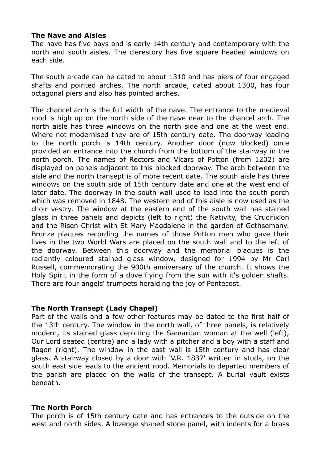# **The Nave and Aisles**

The nave has five bays and is early 14th century and contemporary with the north and south aisles. The clerestory has five square headed windows on each side.

The south arcade can be dated to about 1310 and has piers of four engaged shafts and pointed arches. The north arcade, dated about 1300, has four octagonal piers and also has pointed arches.

The chancel arch is the full width of the nave. The entrance to the medieval rood is high up on the north side of the nave near to the chancel arch. The north aisle has three windows on the north side and one at the west end. Where not modernised they are of 15th century date. The doorway leading to the north porch is 14th century. Another door (now blocked) once provided an entrance into the church from the bottom of the stairway in the north porch. The names of Rectors and Vicars of Potton (from 1202) are displayed on panels adjacent to this blocked doorway. The arch between the aisle and the north transept is of more recent date. The south aisle has three windows on the south side of 15th century date and one at the west end of later date. The doorway in the south wall used to lead into the south porch which was removed in 1848. The western end of this aisle is now used as the choir vestry. The window at the eastern end of the south wall has stained glass in three panels and depicts (left to right) the Nativity, the Crucifixion and the Risen Christ with St Mary Magdalene in the garden of Gethsemany. Bronze plaques recording the names of those Potton men who gave their lives in the two World Wars are placed on the south wall and to the left of the doorway. Between this doorway and the memorial plaques is the radiantly coloured stained glass window, designed for 1994 by Mr Carl Russell, commemorating the 900th anniversary of the church. It shows the Holy Spirit in the form of a dove flying from the sun with it's golden shafts. There are four angels' trumpets heralding the joy of Pentecost.

# **The North Transept (Lady Chapel)**

Part of the walls and a few other features may be dated to the first half of the 13th century. The window in the north wall, of three panels, is relatively modern, its stained glass depicting the Samaritan woman at the well (left), Our Lord seated (centre) and a lady with a pitcher and a boy with a staff and flagon (right). The window in the east wall is 15th century and has clear glass. A stairway closed by a door with 'V.R. 1837' written in studs, on the south east side leads to the ancient rood. Memorials to departed members of the parish are placed on the walls of the transept. A burial vault exists beneath.

#### **The North Porch**

The porch is of 15th century date and has entrances to the outside on the west and north sides. A lozenge shaped stone panel, with indents for a brass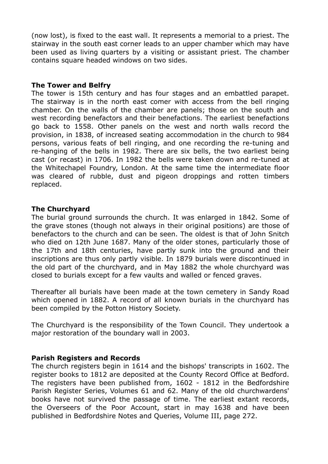(now lost), is fixed to the east wall. It represents a memorial to a priest. The stairway in the south east corner leads to an upper chamber which may have been used as living quarters by a visiting or assistant priest. The chamber contains square headed windows on two sides.

#### **The Tower and Belfry**

The tower is 15th century and has four stages and an embattled parapet. The stairway is in the north east comer with access from the bell ringing chamber. On the walls of the chamber are panels; those on the south and west recording benefactors and their benefactions. The earliest benefactions go back to 1558. Other panels on the west and north walls record the provision, in 1838, of increased seating accommodation in the church to 984 persons, various feats of bell ringing, and one recording the re-tuning and re-hanging of the bells in 1982. There are six bells, the two earliest being cast (or recast) in 1706. In 1982 the bells were taken down and re-tuned at the Whitechapel Foundry, London. At the same time the intermediate floor was cleared of rubble, dust and pigeon droppings and rotten timbers replaced.

# **The Churchyard**

The burial ground surrounds the church. It was enlarged in 1842. Some of the grave stones (though not always in their original positions) are those of benefactors to the church and can be seen. The oldest is that of John Snitch who died on 12th June 1687. Many of the older stones, particularly those of the 17th and 18th centuries, have partly sunk into the ground and their inscriptions are thus only partly visible. In 1879 burials were discontinued in the old part of the churchyard, and in May 1882 the whole churchyard was closed to burials except for a few vaults and walled or fenced graves.

Thereafter all burials have been made at the town cemetery in Sandy Road which opened in 1882. A record of all known burials in the churchyard has been compiled by the Potton History Society.

The Churchyard is the responsibility of the Town Council. They undertook a major restoration of the boundary wall in 2003.

#### **Parish Registers and Records**

The church registers begin in 1614 and the bishops' transcripts in 1602. The register books to 1812 are deposited at the County Record Office at Bedford. The registers have been published from, 1602 - 1812 in the Bedfordshire Parish Register Series, Volumes 61 and 62. Many of the old churchwardens' books have not survived the passage of time. The earliest extant records, the Overseers of the Poor Account, start in may 1638 and have been published in Bedfordshire Notes and Queries, Volume III, page 272.